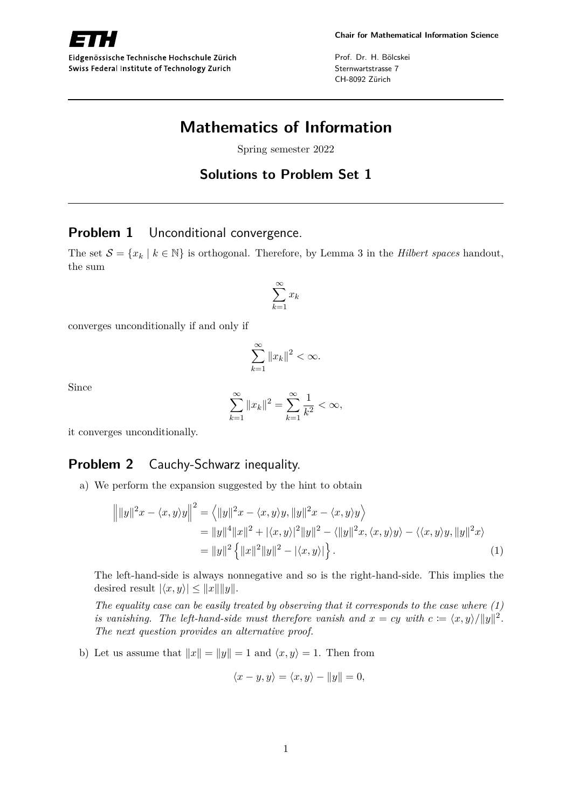

Eidgenössische Technische Hochschule Zürich Swiss Federal Institute of Technology Zurich

Prof. Dr. H. Bölcskei Sternwartstrasse 7 CH-8092 Zürich

# **Mathematics of Information**

Spring semester 2022

## **Solutions to Problem Set 1**

#### **Problem 1** Unconditional convergence.

The set  $S = \{x_k | k \in \mathbb{N}\}\$ is orthogonal. Therefore, by Lemma 3 in the *Hilbert spaces* handout, the sum

$$
\sum_{k=1}^{\infty} x_k
$$

converges unconditionally if and only if

$$
\sum_{k=1}^{\infty} \|x_k\|^2 < \infty.
$$

Since

$$
\sum_{k=1}^{\infty} \|x_k\|^2 = \sum_{k=1}^{\infty} \frac{1}{k^2} < \infty,
$$

it converges unconditionally.

## **Problem 2** Cauchy-Schwarz inequality.

a) We perform the expansion suggested by the hint to obtain

$$
\left\| |y||^2 x - \langle x, y \rangle y \right\|^2 = \left\langle \|y\|^2 x - \langle x, y \rangle y, \|y\|^2 x - \langle x, y \rangle y \right\rangle
$$
  
\n
$$
= \|y\|^4 \|x\|^2 + |\langle x, y \rangle|^2 \|y\|^2 - \langle \|y\|^2 x, \langle x, y \rangle y \rangle - \langle \langle x, y \rangle y, \|y\|^2 x \rangle
$$
  
\n
$$
= \|y\|^2 \left\{ \|x\|^2 \|y\|^2 - |\langle x, y \rangle| \right\}. \tag{1}
$$

The left-hand-side is always nonnegative and so is the right-hand-side. This implies the desired result  $|\langle x, y \rangle| \leq ||x|| ||y||$ .

*The equality case can be easily treated by observing that it corresponds to the case where (1) is vanishing. The left-hand-side must therefore vanish and*  $x = cy$  *with*  $c := \langle x, y \rangle /||y||^2$ *. The next question provides an alternative proof.*

b) Let us assume that  $||x|| = ||y|| = 1$  and  $\langle x, y \rangle = 1$ . Then from

$$
\langle x - y, y \rangle = \langle x, y \rangle - ||y|| = 0,
$$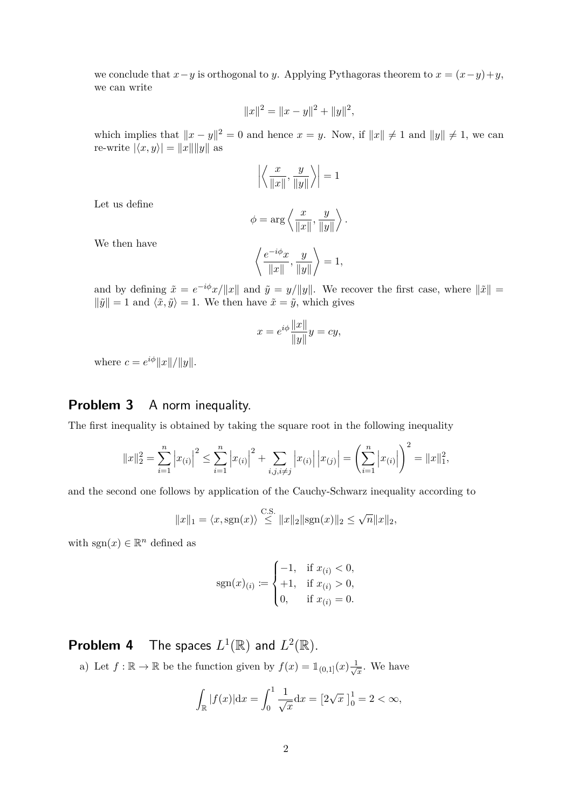we conclude that  $x - y$  is orthogonal to *y*. Applying Pythagoras theorem to  $x = (x - y) + y$ , we can write

$$
||x||^2 = ||x - y||^2 + ||y||^2,
$$

which implies that  $||x - y||^2 = 0$  and hence  $x = y$ . Now, if  $||x|| \neq 1$  and  $||y|| \neq 1$ , we can re-write  $|\langle x, y \rangle| = ||x|| ||y||$  as

$$
\left| \left\langle \frac{x}{\|x\|}, \frac{y}{\|y\|} \right\rangle \right| = 1
$$

Let us define

$$
\phi = \arg \left\langle \frac{x}{\|x\|}, \frac{y}{\|y\|} \right\rangle.
$$

We then have

$$
\left\langle \frac{e^{-i\phi}x}{\|x\|}, \frac{y}{\|y\|} \right\rangle = 1,
$$

and by defining  $\tilde{x} = e^{-i\phi}x/\Vert x \Vert$  and  $\tilde{y} = y/\Vert y \Vert$ . We recover the first case, where  $\Vert \tilde{x} \Vert$  =  $\|\tilde{y}\| = 1$  and  $\langle \tilde{x}, \tilde{y} \rangle = 1$ . We then have  $\tilde{x} = \tilde{y}$ , which gives

$$
x = e^{i\phi} \frac{\|x\|}{\|y\|} y = cy,
$$

where  $c = e^{i\phi} ||x|| / ||y||$ .

#### **Problem 3** A norm inequality.

The first inequality is obtained by taking the square root in the following inequality

$$
||x||_2^2 = \sum_{i=1}^n |x_{(i)}|^2 \le \sum_{i=1}^n |x_{(i)}|^2 + \sum_{i,j,i \ne j} |x_{(i)}| |x_{(j)}| = \left(\sum_{i=1}^n |x_{(i)}|\right)^2 = ||x||_1^2,
$$

and the second one follows by application of the Cauchy-Schwarz inequality according to

$$
||x||_1 = \langle x, \text{sgn}(x) \rangle \overset{\text{C.S.}}{\leq} ||x||_2 ||\text{sgn}(x)||_2 \leq \sqrt{n} ||x||_2,
$$

with  $sgn(x) \in \mathbb{R}^n$  defined as

$$
sgn(x)_{(i)} \coloneqq \begin{cases} -1, & \text{if } x_{(i)} < 0, \\ +1, & \text{if } x_{(i)} > 0, \\ 0, & \text{if } x_{(i)} = 0. \end{cases}
$$

**Problem 4** The spaces  $L^1(\mathbb{R})$  and  $L^2(\mathbb{R})$ .

a) Let  $f : \mathbb{R} \to \mathbb{R}$  be the function given by  $f(x) = \mathbb{1}_{(0,1]}(x) \frac{1}{\sqrt{x}}$  $\frac{1}{x}$ . We have

$$
\int_{\mathbb{R}} |f(x)| dx = \int_0^1 \frac{1}{\sqrt{x}} dx = [2\sqrt{x}]_0^1 = 2 < \infty,
$$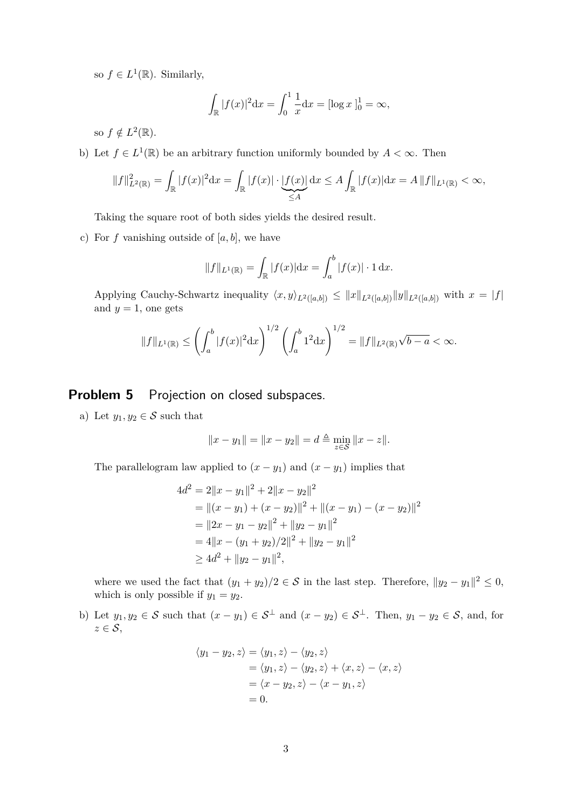so  $f \in L^1(\mathbb{R})$ . Similarly,

$$
\int_{\mathbb{R}} |f(x)|^2 dx = \int_0^1 \frac{1}{x} dx = [\log x]_0^1 = \infty,
$$

so  $f \notin L^2(\mathbb{R})$ .

b) Let  $f \in L^1(\mathbb{R})$  be an arbitrary function uniformly bounded by  $A < \infty$ . Then

$$
||f||_{L^{2}(\mathbb{R})}^{2} = \int_{\mathbb{R}} |f(x)|^{2} dx = \int_{\mathbb{R}} |f(x)| \cdot \underbrace{|f(x)|}_{\leq A} dx \leq A \int_{\mathbb{R}} |f(x)| dx = A ||f||_{L^{1}(\mathbb{R})} < \infty,
$$

Taking the square root of both sides yields the desired result.

c) For  $f$  vanishing outside of  $[a, b]$ , we have

$$
||f||_{L^{1}(\mathbb{R})} = \int_{\mathbb{R}} |f(x)| dx = \int_{a}^{b} |f(x)| \cdot 1 dx.
$$

Applying Cauchy-Schwartz inequality  $\langle x, y \rangle_{L^2([a,b])} \le ||x||_{L^2([a,b])} ||y||_{L^2([a,b])}$  with  $x = |f|$ and  $y = 1$ , one gets

$$
||f||_{L^{1}(\mathbb{R})} \leq \left(\int_{a}^{b} |f(x)|^{2} dx\right)^{1/2} \left(\int_{a}^{b} 1^{2} dx\right)^{1/2} = ||f||_{L^{2}(\mathbb{R})} \sqrt{b-a} < \infty.
$$

#### **Problem 5** Projection on closed subspaces.

a) Let  $y_1, y_2 \in \mathcal{S}$  such that

$$
||x - y_1|| = ||x - y_2|| = d \triangleq \min_{z \in \mathcal{S}} ||x - z||.
$$

The parallelogram law applied to  $(x - y_1)$  and  $(x - y_1)$  implies that

$$
4d^{2} = 2||x - y_{1}||^{2} + 2||x - y_{2}||^{2}
$$
  
=  $||(x - y_{1}) + (x - y_{2})||^{2} + ||(x - y_{1}) - (x - y_{2})||^{2}$   
=  $||2x - y_{1} - y_{2}||^{2} + ||y_{2} - y_{1}||^{2}$   
=  $4||x - (y_{1} + y_{2})/2||^{2} + ||y_{2} - y_{1}||^{2}$   
 $\geq 4d^{2} + ||y_{2} - y_{1}||^{2},$ 

where we used the fact that  $(y_1 + y_2)/2 \in S$  in the last step. Therefore,  $||y_2 - y_1||^2 \leq 0$ , which is only possible if  $y_1 = y_2$ .

b) Let  $y_1, y_2 \in S$  such that  $(x - y_1) \in S^{\perp}$  and  $(x - y_2) \in S^{\perp}$ . Then,  $y_1 - y_2 \in S$ , and, for  $z \in \mathcal{S}$ ,

$$
\langle y_1 - y_2, z \rangle = \langle y_1, z \rangle - \langle y_2, z \rangle
$$
  
=  $\langle y_1, z \rangle - \langle y_2, z \rangle + \langle x, z \rangle - \langle x, z \rangle$   
=  $\langle x - y_2, z \rangle - \langle x - y_1, z \rangle$   
= 0.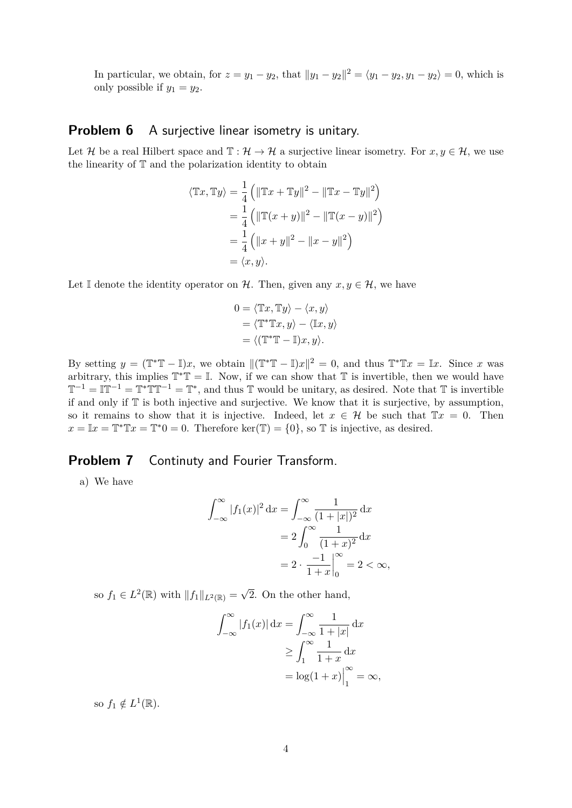In particular, we obtain, for  $z = y_1 - y_2$ , that  $||y_1 - y_2||^2 = \langle y_1 - y_2, y_1 - y_2 \rangle = 0$ , which is only possible if  $y_1 = y_2$ .

#### **Problem 6** A surjective linear isometry is unitary.

Let H be a real Hilbert space and  $\mathbb{T} : \mathcal{H} \to \mathcal{H}$  a surjective linear isometry. For  $x, y \in \mathcal{H}$ , we use the linearity of T and the polarization identity to obtain

$$
\langle \mathbb{T}x, \mathbb{T}y \rangle = \frac{1}{4} (||\mathbb{T}x + \mathbb{T}y||^2 - ||\mathbb{T}x - \mathbb{T}y||^2)
$$
  
=  $\frac{1}{4} (||\mathbb{T}(x + y)||^2 - ||\mathbb{T}(x - y)||^2)$   
=  $\frac{1}{4} (||x + y||^2 - ||x - y||^2)$   
=  $\langle x, y \rangle$ .

Let I denote the identity operator on H. Then, given any  $x, y \in H$ , we have

$$
0 = \langle \mathbb{T}x, \mathbb{T}y \rangle - \langle x, y \rangle
$$
  
=  $\langle \mathbb{T}^* \mathbb{T}x, y \rangle - \langle \mathbb{I}x, y \rangle$   
=  $\langle (\mathbb{T}^* \mathbb{T} - \mathbb{I})x, y \rangle.$ 

By setting  $y = (\mathbb{T}^*\mathbb{T} - \mathbb{I})x$ , we obtain  $\|(\mathbb{T}^*\mathbb{T} - \mathbb{I})x\|^2 = 0$ , and thus  $\mathbb{T}^*\mathbb{T}x = \mathbb{I}x$ . Since *x* was arbitrary, this implies  $\mathbb{T}^*\mathbb{T} = \mathbb{I}$ . Now, if we can show that  $\mathbb{T}$  is invertible, then we would have  $\mathbb{T}^{-1} = \mathbb{T}^{-1} = \mathbb{T}^* \mathbb{T} \mathbb{T}^{-1} = \mathbb{T}^*$ , and thus  $\mathbb{T}$  would be unitary, as desired. Note that  $\mathbb{T}$  is invertible if and only if T is both injective and surjective. We know that it is surjective, by assumption, so it remains to show that it is injective. Indeed, let  $x \in \mathcal{H}$  be such that  $Tx = 0$ . Then  $x = \mathbb{I}x = \mathbb{T}^*\mathbb{T}x = \mathbb{T}^*0 = 0$ . Therefore ker( $\mathbb{T}$ ) = {0}, so  $\mathbb{T}$  is injective, as desired.

#### **Problem 7** Continuty and Fourier Transform.

a) We have

$$
\int_{-\infty}^{\infty} |f_1(x)|^2 dx = \int_{-\infty}^{\infty} \frac{1}{(1+|x|)^2} dx
$$
  
=  $2 \int_{0}^{\infty} \frac{1}{(1+x)^2} dx$   
=  $2 \cdot \frac{-1}{1+x} \Big|_{0}^{\infty} = 2 < \infty$ ,

so  $f_1 \in L^2(\mathbb{R})$  with  $||f_1||_{L^2(\mathbb{R})} = \sqrt{\frac{2}{\pi}}$ 2. On the other hand,

$$
\int_{-\infty}^{\infty} |f_1(x)| dx = \int_{-\infty}^{\infty} \frac{1}{1+|x|} dx
$$

$$
\geq \int_{1}^{\infty} \frac{1}{1+x} dx
$$

$$
= \log(1+x)|_{1}^{\infty} = \infty,
$$

so  $f_1 \notin L^1(\mathbb{R})$ .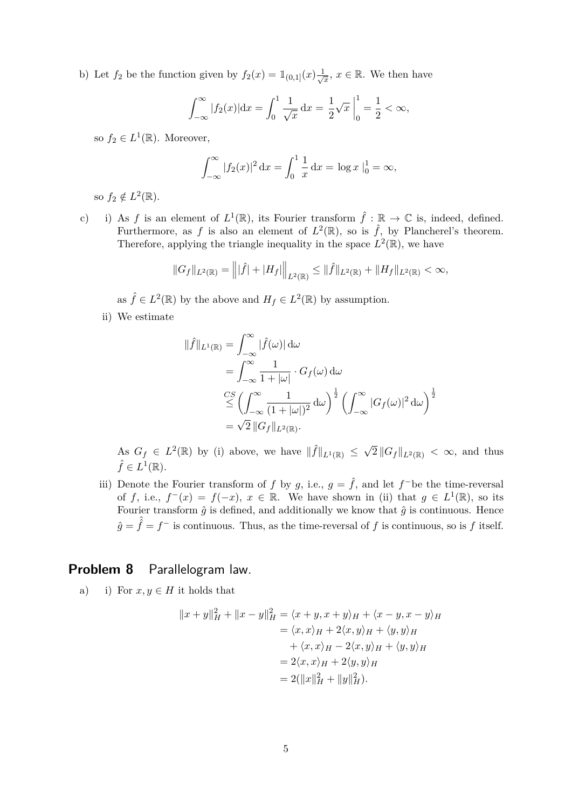b) Let  $f_2$  be the function given by  $f_2(x) = \mathbb{1}_{(0,1]}(x) \frac{1}{\sqrt{x}}$  $\frac{1}{x}$ , *x* ∈ ℝ. We then have

$$
\int_{-\infty}^{\infty} |f_2(x)| dx = \int_0^1 \frac{1}{\sqrt{x}} dx = \frac{1}{2} \sqrt{x} \Big|_0^1 = \frac{1}{2} < \infty,
$$

so  $f_2 \in L^1(\mathbb{R})$ . Moreover,

$$
\int_{-\infty}^{\infty} |f_2(x)|^2 dx = \int_0^1 \frac{1}{x} dx = \log x \Big|_0^1 = \infty,
$$

so  $f_2 \notin L^2(\mathbb{R})$ .

c) i) As *f* is an element of  $L^1(\mathbb{R})$ , its Fourier transform  $\hat{f} : \mathbb{R} \to \mathbb{C}$  is, indeed, defined. Furthermore, as f is also an element of  $L^2(\mathbb{R})$ , so is  $\hat{f}$ , by Plancherel's theorem. Therefore, applying the triangle inequality in the space  $L^2(\mathbb{R})$ , we have

$$
||G_f||_{L^2(\mathbb{R})} = |||\hat{f}| + |H_f||\|_{L^2(\mathbb{R})} \le ||\hat{f}||_{L^2(\mathbb{R})} + ||H_f||_{L^2(\mathbb{R})} < \infty,
$$

as  $\hat{f} \in L^2(\mathbb{R})$  by the above and  $H_f \in L^2(\mathbb{R})$  by assumption.

ii) We estimate

$$
\begin{aligned}\n\|\hat{f}\|_{L^1(\mathbb{R})} &= \int_{-\infty}^{\infty} |\hat{f}(\omega)| d\omega \\
&= \int_{-\infty}^{\infty} \frac{1}{1+|\omega|} \cdot G_f(\omega) d\omega \\
&\stackrel{CS}{\leq} \left(\int_{-\infty}^{\infty} \frac{1}{(1+|\omega|)^2} d\omega\right)^{\frac{1}{2}} \left(\int_{-\infty}^{\infty} |G_f(\omega)|^2 d\omega\right)^{\frac{1}{2}} \\
&= \sqrt{2} \|G_f\|_{L^2(\mathbb{R})}.\n\end{aligned}
$$

As  $G_f \in L^2(\mathbb{R})$  by (i) above, we have  $\|\hat{f}\|_{L^1(\mathbb{R})} \leq \sqrt{\}$  $2\left\|G_f\right\|_{L^2(\mathbb{R})}$   $<\infty$ , and thus  $\hat{f} \in L^1(\mathbb{R}).$ 

iii) Denote the Fourier transform of *f* by *g*, i.e.,  $g = \hat{f}$ , and let  $f^-$ be the time-reversal of *f*, i.e.,  $f^-(x) = f(-x)$ ,  $x \in \mathbb{R}$ . We have shown in (ii) that  $g \in L^1(\mathbb{R})$ , so its Fourier transform  $\hat{g}$  is defined, and additionally we know that  $\hat{g}$  is continuous. Hence  $\hat{g} = \hat{f} = f^-$  is continuous. Thus, as the time-reversal of *f* is continuous, so is *f* itself.

#### **Problem 8** Parallelogram law.

a) i) For  $x, y \in H$  it holds that

$$
||x + y||_H^2 + ||x - y||_H^2 = \langle x + y, x + y \rangle_H + \langle x - y, x - y \rangle_H
$$
  
=  $\langle x, x \rangle_H + 2\langle x, y \rangle_H + \langle y, y \rangle_H$   
+  $\langle x, x \rangle_H - 2\langle x, y \rangle_H + \langle y, y \rangle_H$   
=  $2\langle x, x \rangle_H + 2\langle y, y \rangle_H$   
=  $2(||x||_H^2 + ||y||_H^2).$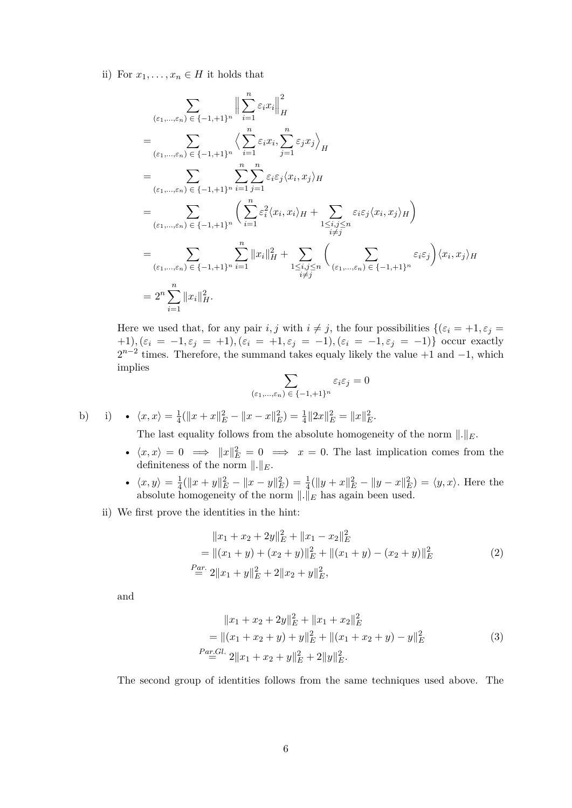ii) For  $x_1, \ldots, x_n \in H$  it holds that

$$
\sum_{(\varepsilon_1,\ldots,\varepsilon_n)\in\{-1,+1\}^n} \Big\| \sum_{i=1}^n \varepsilon_i x_i \Big\|_H^2
$$
\n
$$
= \sum_{(\varepsilon_1,\ldots,\varepsilon_n)\in\{-1,+1\}^n} \Big\langle \sum_{i=1}^n \varepsilon_i x_i, \sum_{j=1}^n \varepsilon_j x_j \Big\rangle_H
$$
\n
$$
= \sum_{(\varepsilon_1,\ldots,\varepsilon_n)\in\{-1,+1\}^n} \sum_{i=1}^n \sum_{j=1}^n \varepsilon_i \varepsilon_j \langle x_i, x_j \rangle_H
$$
\n
$$
= \sum_{(\varepsilon_1,\ldots,\varepsilon_n)\in\{-1,+1\}^n} \Big( \sum_{i=1}^n \varepsilon_i^2 \langle x_i, x_i \rangle_H + \sum_{\substack{1 \le i,j \le n \\ i \ne j}} \varepsilon_i \varepsilon_j \langle x_i, x_j \rangle_H \Big)
$$
\n
$$
= \sum_{(\varepsilon_1,\ldots,\varepsilon_n)\in\{-1,+1\}^n} \sum_{i=1}^n \|x_i\|_H^2 + \sum_{\substack{1 \le i,j \le n \\ i \ne j}} \Big( \sum_{(\varepsilon_1,\ldots,\varepsilon_n)\in\{-1,+1\}^n} \varepsilon_i \varepsilon_j \Big) \langle x_i, x_j \rangle_H
$$
\n
$$
= 2^n \sum_{i=1}^n \|x_i\|_H^2.
$$

Here we used that, for any pair *i, j* with  $i \neq j$ , the four possibilities  $\{(\varepsilon_i = +1, \varepsilon_j =$ +1),  $(\varepsilon_i = -1, \varepsilon_j = +1)$ ,  $(\varepsilon_i = +1, \varepsilon_j = -1)$ ,  $(\varepsilon_i = -1, \varepsilon_j = -1)$ } occur exactly  $2^{n-2}$  times. Therefore, the summand takes equaly likely the value +1 and -1, which implies

$$
\sum_{(\varepsilon_1,\ldots,\varepsilon_n)\,\in\,\{-1,+1\}^n}\varepsilon_i\varepsilon_j=0
$$

b) i) • 
$$
\langle x, x \rangle = \frac{1}{4} (||x + x||_E^2 - ||x - x||_E^2) = \frac{1}{4} ||2x||_E^2 = ||x||_E^2.
$$

The last equality follows from the absolute homogeneity of the norm  $\|.\|_E$ .

- $\langle x, x \rangle = 0 \implies ||x||_E^2 = 0 \implies x = 0$ . The last implication comes from the definiteness of the norm  $\Vert . \Vert_E$ .
- $\langle x, y \rangle = \frac{1}{4}$  $\frac{1}{4}(\|x+y\|_E^2 - \|x-y\|_E^2) = \frac{1}{4}(\|y+x\|_E^2 - \|y-x\|_E^2) = \langle y,x\rangle$ . Here the absolute homogeneity of the norm  $\|.\|_E$  has again been used.
- ii) We first prove the identities in the hint:

$$
||x_1 + x_2 + 2y||_E^2 + ||x_1 - x_2||_E^2
$$
  
=  $||(x_1 + y) + (x_2 + y)||_E^2 + ||(x_1 + y) - (x_2 + y)||_E^2$   
 $\stackrel{Par.}{=} 2||x_1 + y||_E^2 + 2||x_2 + y||_E^2,$  (2)

and

$$
||x_1 + x_2 + 2y||_E^2 + ||x_1 + x_2||_E^2
$$
  
=  $||(x_1 + x_2 + y) + y||_E^2 + ||(x_1 + x_2 + y) - y||_E^2$   
*Par.GI.*  $2||x_1 + x_2 + y||_E^2 + 2||y||_E^2$ . (3)

The second group of identities follows from the same techniques used above. The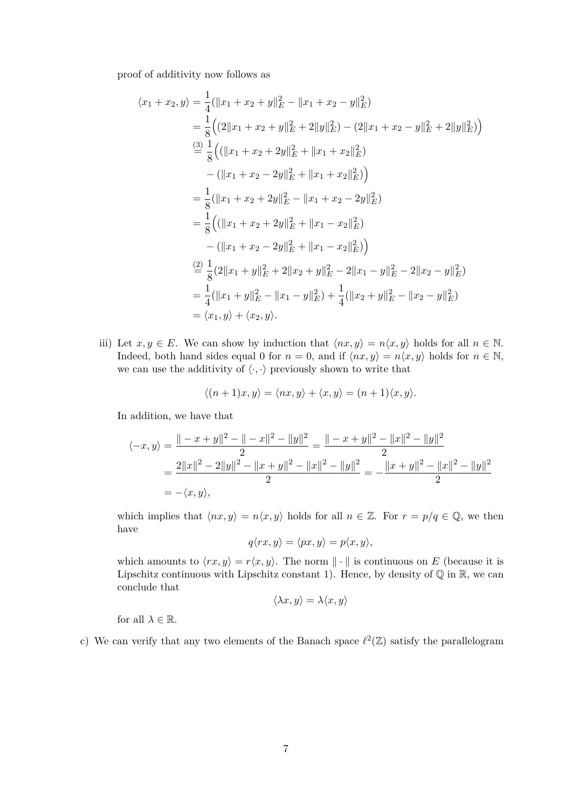proof of additivity now follows as

$$
\langle x_1 + x_2, y \rangle = \frac{1}{4} (||x_1 + x_2 + y||_E^2 - ||x_1 + x_2 - y||_E^2)
$$
  
\n
$$
= \frac{1}{8} \Big( (2||x_1 + x_2 + y||_E^2 + 2||y||_E^2) - (2||x_1 + x_2 - y||_E^2 + 2||y||_E^2) \Big)
$$
  
\n
$$
\stackrel{(3)}{=} \frac{1}{8} \Big( (||x_1 + x_2 + 2y||_E^2 + ||x_1 + x_2||_E^2)
$$
  
\n
$$
- (||x_1 + x_2 - 2y||_E^2 + ||x_1 + x_2||_E^2) \Big)
$$
  
\n
$$
= \frac{1}{8} (||x_1 + x_2 + 2y||_E^2 - ||x_1 + x_2 - 2y||_E^2)
$$
  
\n
$$
= \frac{1}{8} \Big( (||x_1 + x_2 + 2y||_E^2 + ||x_1 - x_2||_E^2) - (||x_1 + x_2 - 2y||_E^2 + ||x_1 - x_2||_E^2) \Big)
$$
  
\n
$$
\stackrel{(2)}{=} \frac{1}{8} (2||x_1 + y||_E^2 + 2||x_2 + y||_E^2 - 2||x_1 - y||_E^2 - 2||x_2 - y||_E^2)
$$
  
\n
$$
= \frac{1}{4} (||x_1 + y||_E^2 - ||x_1 - y||_E^2) + \frac{1}{4} (||x_2 + y||_E^2 - ||x_2 - y||_E^2)
$$
  
\n
$$
= \langle x_1, y \rangle + \langle x_2, y \rangle.
$$

iii) Let  $x, y \in E$ . We can show by induction that  $\langle nx, y \rangle = n \langle x, y \rangle$  holds for all  $n \in \mathbb{N}$ . Indeed, both hand sides equal 0 for  $n = 0$ , and if  $\langle nx, y \rangle = n \langle x, y \rangle$  holds for  $n \in \mathbb{N}$ , we can use the additivity of  $\langle \cdot, \cdot \rangle$  previously shown to write that

$$
\langle (n+1)x, y \rangle = \langle nx, y \rangle + \langle x, y \rangle = (n+1)\langle x, y \rangle.
$$

In addition, we have that

$$
\langle -x, y \rangle = \frac{\| -x + y \|^2 - \| -x \|^2 - \|y\|^2}{2} = \frac{\| -x + y \|^2 - \|x\|^2 - \|y\|^2}{2}
$$
  
= 
$$
\frac{2\|x\|^2 - 2\|y\|^2 - \|x + y\|^2 - \|x\|^2 - \|y\|^2}{2} = -\frac{\|x + y\|^2 - \|x\|^2 - \|y\|^2}{2}
$$
  
= 
$$
-\langle x, y \rangle,
$$

which implies that  $\langle nx, y \rangle = n\langle x, y \rangle$  holds for all  $n \in \mathbb{Z}$ . For  $r = p/q \in \mathbb{Q}$ , we then have

$$
q\langle rx, y\rangle = \langle px, y\rangle = p\langle x, y\rangle,
$$

which amounts to  $\langle rx, y \rangle = r\langle x, y \rangle$ . The norm  $\|\cdot\|$  is continuous on *E* (because it is Lipschitz continuous with Lipschitz constant 1). Hence, by density of  $\mathbb Q$  in  $\mathbb R$ , we can conclude that

$$
\langle \lambda x, y \rangle = \lambda \langle x, y \rangle
$$

for all  $\lambda \in \mathbb{R}$ .

c) We can verify that any two elements of the Banach space  $\ell^2(\mathbb{Z})$  satisfy the parallelogram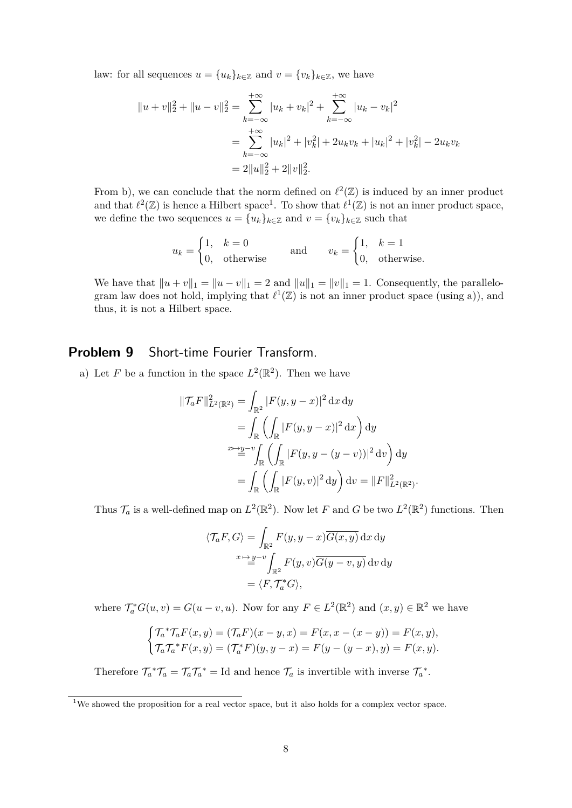law: for all sequences  $u = \{u_k\}_{k \in \mathbb{Z}}$  and  $v = \{v_k\}_{k \in \mathbb{Z}}$ , we have

$$
||u + v||_2^2 + ||u - v||_2^2 = \sum_{k=-\infty}^{+\infty} |u_k + v_k|^2 + \sum_{k=-\infty}^{+\infty} |u_k - v_k|^2
$$
  
= 
$$
\sum_{k=-\infty}^{+\infty} |u_k|^2 + |v_k^2| + 2u_kv_k + |u_k|^2 + |v_k^2| - 2u_kv_k
$$
  
= 
$$
2||u||_2^2 + 2||v||_2^2.
$$

From b), we can conclude that the norm defined on  $\ell^2(\mathbb{Z})$  is induced by an inner product and that  $\ell^2(\mathbb{Z})$  is hence a Hilbert space<sup>1</sup>. To show that  $\ell^1(\mathbb{Z})$  is not an inner product space, we define the two sequences  $u = \{u_k\}_{k \in \mathbb{Z}}$  and  $v = \{v_k\}_{k \in \mathbb{Z}}$  such that

$$
u_k = \begin{cases} 1, & k = 0 \\ 0, & \text{otherwise} \end{cases} \quad \text{and} \quad v_k = \begin{cases} 1, & k = 1 \\ 0, & \text{otherwise.} \end{cases}
$$

We have that  $||u + v||_1 = ||u - v||_1 = 2$  and  $||u||_1 = ||v||_1 = 1$ . Consequently, the parallelogram law does not hold, implying that  $\ell^1(\mathbb{Z})$  is not an inner product space (using a)), and thus, it is not a Hilbert space.

## **Problem 9** Short-time Fourier Transform.

a) Let *F* be a function in the space  $L^2(\mathbb{R}^2)$ . Then we have

$$
\|\mathcal{T}_a F\|_{L^2(\mathbb{R}^2)}^2 = \int_{\mathbb{R}^2} |F(y, y - x)|^2 \,dx \,dy
$$
  
= 
$$
\int_{\mathbb{R}} \left( \int_{\mathbb{R}} |F(y, y - x)|^2 \,dx \right) dy
$$
  

$$
\stackrel{x \mapsto y - v}{=} \int_{\mathbb{R}} \left( \int_{\mathbb{R}} |F(y, y - (y - v))|^2 \,dv \right) dy
$$
  
= 
$$
\int_{\mathbb{R}} \left( \int_{\mathbb{R}} |F(y, v)|^2 \,dy \right) dv = \|F\|_{L^2(\mathbb{R}^2)}^2
$$

Thus  $\mathcal{T}_a$  is a well-defined map on  $L^2(\mathbb{R}^2)$ . Now let F and G be two  $L^2(\mathbb{R}^2)$  functions. Then

*.*

$$
\langle \mathcal{T}_a F, G \rangle = \int_{\mathbb{R}^2} F(y, y - x) \overline{G(x, y)} \, dx \, dy
$$

$$
= \sum_{k=0}^{x + 2} \int_{\mathbb{R}^2} F(y, v) \overline{G(y - v, y)} \, dv \, dy
$$

$$
= \langle F, \mathcal{T}_a^* G \rangle,
$$

where  $\mathcal{T}_a^* G(u, v) = G(u - v, u)$ . Now for any  $F \in L^2(\mathbb{R}^2)$  and  $(x, y) \in \mathbb{R}^2$  we have

$$
\begin{cases} \mathcal{T}_a^* \mathcal{T}_a F(x, y) = (\mathcal{T}_a F)(x - y, x) = F(x, x - (x - y)) = F(x, y), \\ \mathcal{T}_a \mathcal{T}_a^* F(x, y) = (\mathcal{T}_a^* F)(y, y - x) = F(y - (y - x), y) = F(x, y). \end{cases}
$$

Therefore  $\mathcal{T}_a^* \mathcal{T}_a = \mathcal{T}_a \mathcal{T}_a^* = \text{Id}$  and hence  $\mathcal{T}_a$  is invertible with inverse  $\mathcal{T}_a^*$ .

<sup>&</sup>lt;sup>1</sup>We showed the proposition for a real vector space, but it also holds for a complex vector space.